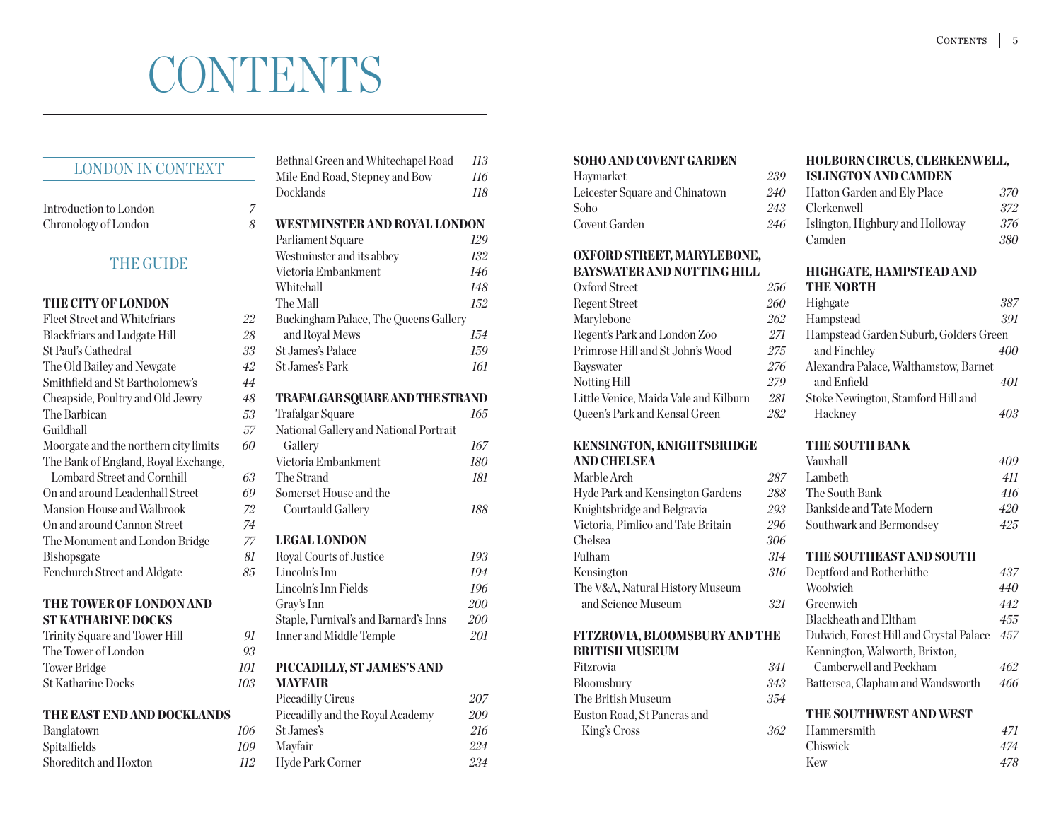# **CONTENTS**

## LONDON IN CONTEXT

Introduction to London *7* Chronology of London *8*

## THE GUIDE

## the city of london

| Fleet Street and Whitefriars          | 22 |
|---------------------------------------|----|
| <b>Blackfriars and Ludgate Hill</b>   | 28 |
| <b>St Paul's Cathedral</b>            | 33 |
| The Old Bailey and Newgate            | 42 |
| Smithfield and St Bartholomew's       | 44 |
| Cheapside, Poultry and Old Jewry      | 48 |
| The Barbican                          | 53 |
| Guildhall                             | 57 |
| Moorgate and the northern city limits | 60 |
| The Bank of England, Royal Exchange,  |    |
| Lombard Street and Cornhill           | 63 |
| On and around Leadenhall Street       | 69 |
| Mansion House and Walbrook            | 72 |
| On and around Cannon Street           | 74 |
| The Monument and London Bridge        | 77 |
| <b>Bishopsgate</b>                    | 81 |
| Fenchurch Street and Aldgate          | 85 |
|                                       |    |

## the tower of london and st katharine docks

| Trinity Square and Tower Hill | 91  |
|-------------------------------|-----|
| The Tower of London           | 93  |
| Tower Bridge                  | 101 |
| <b>St Katharine Docks</b>     | 103 |

#### the east end and docklands

| Banglatown            | 106                   |
|-----------------------|-----------------------|
| Spitalfields          | 109                   |
| Shoreditch and Hoxton | <i>H</i> <sup>2</sup> |

|                          | Bethnal Green and Whitechapel Road     | 113        |
|--------------------------|----------------------------------------|------------|
|                          | Mile End Road, Stepney and Bow         | <b>116</b> |
|                          | Docklands                              | 118        |
| 7                        |                                        |            |
| ş                        | <b>WESTMINSTER AND ROYAL LONDON</b>    |            |
|                          | Parliament Square                      | 129        |
| ł                        | Westminster and its abbey              | 132        |
| ł                        | Victoria Embankment                    | 146        |
|                          | Whitehall                              | 148        |
|                          | The Mall                               | 152        |
|                          | Buckingham Palace, The Queens Gallery  |            |
| z                        | and Royal Mews                         | 154        |
| ₹                        | St.James's Palace                      | 159        |
|                          | <b>St.James's Park</b>                 | 161        |
| )<br>                    |                                        |            |
| 3                        | TRAFALGAR SQUARE AND THE STRAND        |            |
| <sup>)</sup>             | Trafalgar Square                       | 165        |
| 7                        | National Gallery and National Portrait |            |
| $\overline{\phantom{a}}$ | Gallery                                | 167        |
|                          | Victoria Embankment                    | 180        |
| }                        | The Strand                             | 181        |
| $\bm{\mathcal{Y}}$       | Somerset House and the                 |            |
| $\mathbf{r}$             | Courtauld Gallery                      | 188        |
| $\mathfrak{t}$           |                                        |            |
| 7                        | <b>LEGAL LONDON</b>                    |            |
| l                        | Royal Courts of Justice                | 193        |
|                          | Lincoln's Inn                          | 194        |
|                          | Lincoln's Inn Fields                   | 196        |
|                          | Gray's Inn                             | 200        |
|                          | Staple, Furnival's and Barnard's Inns  | 200        |
| 1                        | Inner and Middle Temple                | 201        |
| ₹                        |                                        |            |
| l                        | PICCADILLY, ST JAMES'S AND             |            |
| ∤                        | <b>MAYFAIR</b>                         |            |
|                          | <b>Piccadilly Circus</b>               | 207        |
|                          | Piccadilly and the Royal Academy       | 209        |
| 5                        | St James's                             | 216        |
| $\bm{\mathcal{Y}}$       | Mayfair                                | 224        |
| ì                        | Hyde Park Corner                       | 234        |

## soho and covent garden

| Haymarket                      | 239 |
|--------------------------------|-----|
| Leicester Square and Chinatown | 240 |
| Soho                           | 245 |
| Covent Garden                  | 246 |

## oxford street, marylebone, bayswater and notting hill

| Oxford Street                         | 256 |
|---------------------------------------|-----|
| <b>Regent Street</b>                  | 260 |
| Marylebone                            | 262 |
| Regent's Park and London Zoo          | 271 |
| Primrose Hill and St John's Wood      | 275 |
| Bayswater                             | 276 |
| <b>Notting Hill</b>                   | 279 |
| Little Venice, Maida Vale and Kilburn | 281 |
| Queen's Park and Kensal Green         | 282 |
|                                       |     |

## kensington, knightsbridge and chelsea

| Marble Arch                        | 287 |
|------------------------------------|-----|
| Hyde Park and Kensington Gardens   | 288 |
| Knightsbridge and Belgravia        | 295 |
| Victoria, Pimlico and Tate Britain | 296 |
| Chelsea                            | 306 |
| Fulham                             | 314 |
| Kensington                         | 316 |
| The V&A, Natural History Museum    |     |
| and Science Museum                 | 321 |
|                                    |     |

## fitzrovia, bloomsbury and the british museum

| Fitzrovia                   | 341 | Camberw        |
|-----------------------------|-----|----------------|
| Bloomsbury                  | 343 | Battersea, Q   |
| The British Museum          | 354 |                |
| Euston Road. St Pancras and |     | <b>THE SOU</b> |
| King's Cross                | 362 | Hammersn       |

### holborn circus, clerkenwell, islington and camden

| Hatton Garden and Ely Place      | 370 |
|----------------------------------|-----|
| Clerkenwell                      | 372 |
| Islington, Highbury and Holloway | 376 |
| Camden                           | 380 |

#### highgate, hampstead and **THE NORTH**

| Highgate                               | 387 |
|----------------------------------------|-----|
| Hampstead                              | 391 |
| Hampstead Garden Suburb, Golders Green |     |
| and Finchley                           | 400 |
| Alexandra Palace, Walthamstow, Barnet  |     |
| and Enfield                            | 401 |
| Stoke Newington, Stamford Hill and     |     |
| Hackney                                |     |

## the south bank

| Vauxhall                                | 409 |
|-----------------------------------------|-----|
| Lambeth                                 | 411 |
| The South Bank                          | 416 |
| Bankside and Tate Modern                | 420 |
| Southwark and Bermondsey                | 425 |
| THE SOUTHEAST AND SOUTH                 |     |
| Deptford and Rotherhithe                | 437 |
| Woolwich                                | 440 |
| Greenwich                               | 442 |
| <b>Blackheath and Eltham</b>            | 455 |
| Dulwich, Forest Hill and Crystal Palace | 457 |
| Kennington, Walworth, Brixton,          |     |
| Camberwell and Peckham                  | 462 |
| Battersea, Clapham and Wandsworth       | 466 |
| THE SOUTHWEST AND WEST                  |     |
| Hammersmith                             | 471 |
| Chiswick                                | 474 |
| Kew                                     | 478 |